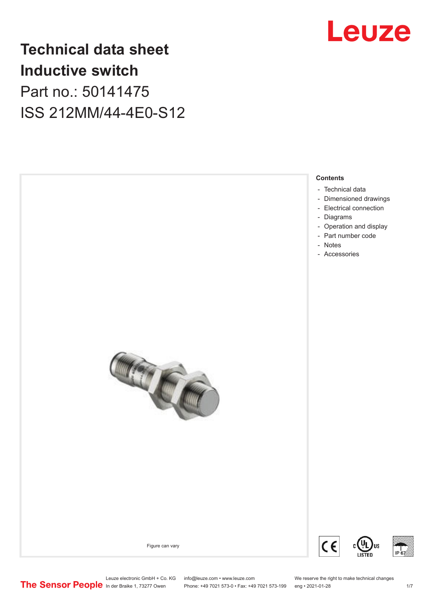

### **Technical data sheet Inductive switch** Part no.: 50141475 ISS 212MM/44-4E0-S12



Leuze electronic GmbH + Co. KG info@leuze.com • www.leuze.com We reserve the right to make technical changes<br>
The Sensor People in der Braike 1, 73277 Owen Phone: +49 7021 573-0 • Fax: +49 7021 573-199 eng • 2021-01-28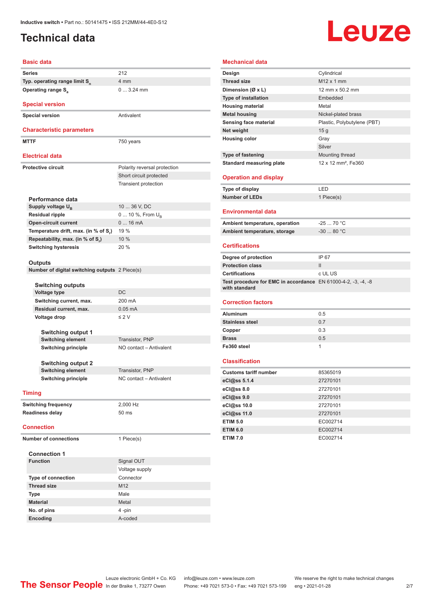### <span id="page-1-0"></span>**Technical data**

# Leuze

#### **Basic data**

|                              | <b>Basic data</b>                                         |                              |
|------------------------------|-----------------------------------------------------------|------------------------------|
|                              | <b>Series</b>                                             | 212                          |
|                              | Typ. operating range limit S <sub>n</sub>                 | 4 mm                         |
|                              | <b>Operating range S</b> <sub>a</sub>                     | $03.24$ mm                   |
|                              | <b>Special version</b>                                    |                              |
|                              |                                                           |                              |
|                              | <b>Special version</b>                                    | Antivalent                   |
|                              | <b>Characteristic parameters</b>                          |                              |
|                              | <b>MTTF</b>                                               | 750 years                    |
|                              |                                                           |                              |
|                              | <b>Electrical data</b>                                    |                              |
|                              | <b>Protective circuit</b>                                 | Polarity reversal protection |
|                              |                                                           | Short circuit protected      |
|                              |                                                           | <b>Transient protection</b>  |
|                              |                                                           |                              |
|                              | Performance data                                          |                              |
|                              | Supply voltage U <sub>B</sub>                             | 10  36 V, DC                 |
|                              | <b>Residual ripple</b>                                    | 0  10 %, From $U_{\rm B}$    |
|                              | <b>Open-circuit current</b>                               | 016mA                        |
|                              | Temperature drift, max. (in % of S.)                      | 19 %                         |
|                              | Repeatability, max. (in % of S.)                          | 10%                          |
|                              | <b>Switching hysteresis</b>                               | 20 %                         |
|                              |                                                           |                              |
|                              | Outputs<br>Number of digital switching outputs 2 Piece(s) |                              |
|                              |                                                           |                              |
|                              | Switching outputs                                         |                              |
|                              | <b>Voltage type</b>                                       | DC                           |
|                              | Switching current, max.                                   | 200 mA                       |
|                              | Residual current, max.                                    | $0.05$ mA                    |
|                              | Voltage drop                                              | $\leq 2 V$                   |
|                              |                                                           |                              |
|                              | <b>Switching output 1</b>                                 |                              |
|                              | <b>Switching element</b>                                  | Transistor, PNP              |
|                              | <b>Switching principle</b>                                | NO contact - Antivalent      |
|                              |                                                           |                              |
|                              | Switching output 2                                        | <b>Transistor, PNP</b>       |
|                              | <b>Switching element</b><br><b>Switching principle</b>    | NC contact - Antivalent      |
|                              |                                                           |                              |
|                              | <b>Timing</b>                                             |                              |
|                              | <b>Switching frequency</b>                                | 2,000 Hz                     |
|                              | <b>Readiness delay</b>                                    | 50 ms                        |
|                              |                                                           |                              |
|                              | <b>Connection</b>                                         |                              |
| <b>Number of connections</b> |                                                           | 1 Piece(s)                   |
|                              |                                                           |                              |
|                              | <b>Connection 1</b>                                       |                              |
|                              | <b>Function</b>                                           | Signal OUT                   |
|                              |                                                           | Voltage supply               |
| <b>Type of connection</b>    |                                                           | Connector                    |
|                              | <b>Thread size</b>                                        | M <sub>12</sub>              |
|                              | Type                                                      | Male                         |
|                              | <b>Material</b>                                           | Metal                        |
|                              | No. of pins                                               | 4-pin                        |
|                              | Encoding                                                  | A-coded                      |

#### **Mechanical data**

| Design                                                        | Cylindrical                     |
|---------------------------------------------------------------|---------------------------------|
| <b>Thread size</b>                                            | M12 x 1 mm                      |
| Dimension (Ø x L)                                             | 12 mm x 50.2 mm                 |
| <b>Type of installation</b>                                   | Embedded                        |
| <b>Housing material</b>                                       | Metal                           |
| <b>Metal housing</b>                                          | Nickel-plated brass             |
| Sensing face material                                         | Plastic, Polybutylene (PBT)     |
| Net weight                                                    | 15 g                            |
| <b>Housing color</b>                                          | Gray                            |
|                                                               | Silver                          |
| <b>Type of fastening</b>                                      | Mounting thread                 |
| <b>Standard measuring plate</b>                               | 12 x 12 mm <sup>2</sup> , Fe360 |
|                                                               |                                 |
| <b>Operation and display</b>                                  |                                 |
| Type of display                                               | LED                             |
| <b>Number of LEDs</b>                                         | 1 Piece(s)                      |
|                                                               |                                 |
| <b>Environmental data</b>                                     |                                 |
| Ambient temperature, operation                                | $-2570 °C$                      |
| Ambient temperature, storage                                  | $-3080$ °C                      |
| <b>Certifications</b>                                         |                                 |
| Degree of protection                                          | IP 67                           |
| <b>Protection class</b>                                       | $\mathbf{II}$                   |
| <b>Certifications</b>                                         | c UL US                         |
| Test procedure for EMC in accordance EN 61000-4-2, -3, -4, -8 |                                 |
| with standard                                                 |                                 |
| <b>Correction factors</b>                                     |                                 |
| <b>Aluminum</b>                                               | 0.5                             |
| <b>Stainless steel</b>                                        | 0.7                             |
| Copper                                                        | 0.3                             |
| <b>Brass</b>                                                  | 0.5                             |
| Fe360 steel                                                   | 1                               |
|                                                               |                                 |
| <b>Classification</b>                                         |                                 |
| <b>Customs tariff number</b>                                  | 85365019                        |
| eCl@ss 5.1.4                                                  | 27270101                        |
| eCl@ss 8.0                                                    | 27270101                        |
| eCl@ss 9.0                                                    | 27270101                        |
| eCl@ss 10.0                                                   | 27270101                        |
| eCl@ss 11.0                                                   | 27270101                        |
| <b>ETIM 5.0</b>                                               | EC002714                        |
| <b>ETIM 6.0</b>                                               | EC002714                        |
| <b>ETIM 7.0</b>                                               | EC002714                        |
|                                                               |                                 |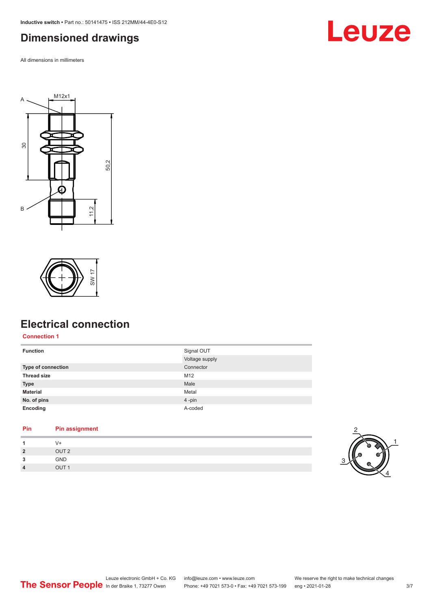<span id="page-2-0"></span>**Inductive switch •** Part no.: 50141475 **•** ISS 212MM/44-4E0-S12

#### **Dimensioned drawings**

All dimensions in millimeters







#### **Electrical connection**

**Connection 1**

| <b>Function</b>    | Signal OUT     |
|--------------------|----------------|
|                    | Voltage supply |
| Type of connection | Connector      |
| <b>Thread size</b> | M12            |
| <b>Type</b>        | Male           |
| <b>Material</b>    | Metal          |
| No. of pins        | 4-pin          |
| Encoding           | A-coded        |

#### **Pin Pin assignment**

| -1             | $V +$            |
|----------------|------------------|
| $\overline{2}$ | OUT <sub>2</sub> |
| 3              | GND              |
| $\overline{4}$ | OUT <sub>1</sub> |

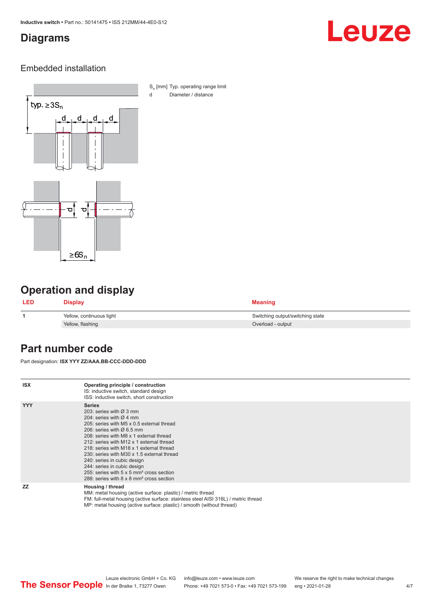#### <span id="page-3-0"></span>**Diagrams**

# Leuze

#### Embedded installation



S<sub>n</sub> [mm] Typ. operating range limit d Diameter / distance

### **Operation and display**

| <b>LED</b> | Display                  | <b>Meaning</b>                   |
|------------|--------------------------|----------------------------------|
|            | Yellow, continuous light | Switching output/switching state |
|            | Yellow, flashing         | Overload - output                |

#### **Part number code**

Part designation: **ISX YYY ZZ/AAA.BB-CCC-DDD-DDD**

| <b>ISX</b> | Operating principle / construction<br>IS: inductive switch, standard design<br>ISS: inductive switch, short construction                                                                                                                                                                                                                                                                                                                                                                                                                         |
|------------|--------------------------------------------------------------------------------------------------------------------------------------------------------------------------------------------------------------------------------------------------------------------------------------------------------------------------------------------------------------------------------------------------------------------------------------------------------------------------------------------------------------------------------------------------|
| <b>YYY</b> | <b>Series</b><br>203: series with $\varnothing$ 3 mm<br>204: series with $\varnothing$ 4 mm<br>205: series with M5 x 0.5 external thread<br>206: series with $\varnothing$ 6.5 mm<br>208: series with M8 x 1 external thread<br>212: series with M12 x 1 external thread<br>218: series with M18 x 1 external thread<br>230: series with M30 x 1.5 external thread<br>240: series in cubic design<br>244: series in cubic design<br>255: series with 5 x 5 mm <sup>2</sup> cross section<br>288: series with 8 x 8 mm <sup>2</sup> cross section |
| <b>ZZ</b>  | Housing / thread<br>MM: metal housing (active surface: plastic) / metric thread<br>FM: full-metal housing (active surface: stainless steel AISI 316L) / metric thread<br>MP: metal housing (active surface: plastic) / smooth (without thread)                                                                                                                                                                                                                                                                                                   |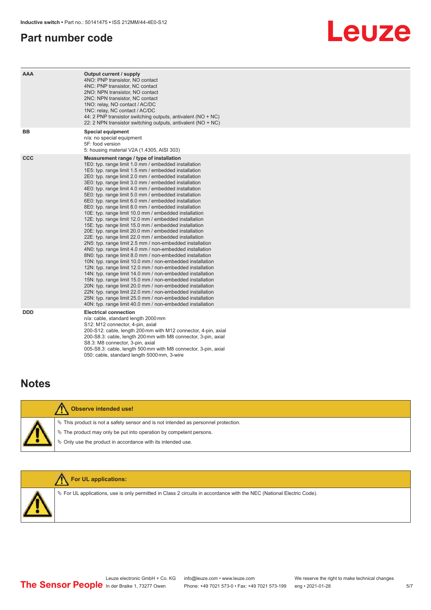#### <span id="page-4-0"></span>**Part number code**

# Leuze

| <b>AAA</b> | Output current / supply<br>4NO: PNP transistor, NO contact<br>4NC: PNP transistor, NC contact<br>2NO: NPN transistor, NO contact<br>2NC: NPN transistor, NC contact<br>1NO: relay, NO contact / AC/DC<br>1NC: relay, NC contact / AC/DC<br>44: 2 PNP transistor switching outputs, antivalent ( $NO + NC$ )<br>22: 2 NPN transistor switching outputs, antivalent (NO + NC)                                                                                                                                                                                                                                                                                                                                                                                                                                                                                                                                                                                                                                                                                                                                                                                                                                                                                                                                                                                                                                                                                                                       |
|------------|---------------------------------------------------------------------------------------------------------------------------------------------------------------------------------------------------------------------------------------------------------------------------------------------------------------------------------------------------------------------------------------------------------------------------------------------------------------------------------------------------------------------------------------------------------------------------------------------------------------------------------------------------------------------------------------------------------------------------------------------------------------------------------------------------------------------------------------------------------------------------------------------------------------------------------------------------------------------------------------------------------------------------------------------------------------------------------------------------------------------------------------------------------------------------------------------------------------------------------------------------------------------------------------------------------------------------------------------------------------------------------------------------------------------------------------------------------------------------------------------------|
| BB         | <b>Special equipment</b><br>n/a: no special equipment<br>5F: food version<br>5: housing material V2A (1.4305, AISI 303)                                                                                                                                                                                                                                                                                                                                                                                                                                                                                                                                                                                                                                                                                                                                                                                                                                                                                                                                                                                                                                                                                                                                                                                                                                                                                                                                                                           |
| <b>CCC</b> | Measurement range / type of installation<br>1E0: typ. range limit 1.0 mm / embedded installation<br>1E5: typ. range limit 1.5 mm / embedded installation<br>2E0: typ. range limit 2.0 mm / embedded installation<br>3E0: typ. range limit 3.0 mm / embedded installation<br>4E0: typ. range limit 4.0 mm / embedded installation<br>5E0: typ. range limit 5.0 mm / embedded installation<br>6E0: typ. range limit 6.0 mm / embedded installation<br>8E0: typ. range limit 8.0 mm / embedded installation<br>10E: typ. range limit 10.0 mm / embedded installation<br>12E: typ. range limit 12.0 mm / embedded installation<br>15E: typ. range limit 15.0 mm / embedded installation<br>20E: typ. range limit 20.0 mm / embedded installation<br>22E: typ. range limit 22.0 mm / embedded installation<br>2N5: typ. range limit 2.5 mm / non-embedded installation<br>4N0: typ. range limit 4.0 mm / non-embedded installation<br>8N0: typ. range limit 8.0 mm / non-embedded installation<br>10N: typ. range limit 10.0 mm / non-embedded installation<br>12N: typ. range limit 12.0 mm / non-embedded installation<br>14N: typ. range limit 14.0 mm / non-embedded installation<br>15N: typ. range limit 15.0 mm / non-embedded installation<br>20N: typ. range limit 20.0 mm / non-embedded installation<br>22N: typ. range limit 22.0 mm / non-embedded installation<br>25N: typ. range limit 25.0 mm / non-embedded installation<br>40N: typ. range limit 40.0 mm / non-embedded installation |
| <b>DDD</b> | <b>Electrical connection</b><br>n/a: cable, standard length 2000 mm<br>S12: M12 connector, 4-pin, axial<br>200-S12: cable, length 200 mm with M12 connector, 4-pin, axial<br>200-S8.3: cable, length 200 mm with M8 connector, 3-pin, axial<br>S8.3: M8 connector, 3-pin, axial<br>005-S8.3: cable, length 500 mm with M8 connector, 3-pin, axial<br>050: cable, standard length 5000 mm, 3-wire                                                                                                                                                                                                                                                                                                                                                                                                                                                                                                                                                                                                                                                                                                                                                                                                                                                                                                                                                                                                                                                                                                  |

#### **Notes**

| <b>Observe intended use!</b>                                                                                                                                                                                                  |
|-------------------------------------------------------------------------------------------------------------------------------------------------------------------------------------------------------------------------------|
| $\%$ This product is not a safety sensor and is not intended as personnel protection.<br>$\%$ The product may only be put into operation by competent persons.<br>♦ Only use the product in accordance with its intended use. |



ª For UL applications, use is only permitted in Class 2 circuits in accordance with the NEC (National Electric Code).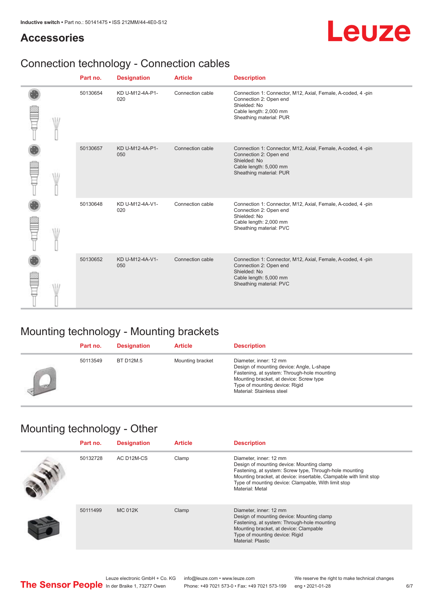#### **Accessories**

## Leuze

### Connection technology - Connection cables

|  | Part no. | <b>Designation</b>     | <b>Article</b>   | <b>Description</b>                                                                                                                                         |
|--|----------|------------------------|------------------|------------------------------------------------------------------------------------------------------------------------------------------------------------|
|  | 50130654 | KD U-M12-4A-P1-<br>020 | Connection cable | Connection 1: Connector, M12, Axial, Female, A-coded, 4-pin<br>Connection 2: Open end<br>Shielded: No<br>Cable length: 2,000 mm<br>Sheathing material: PUR |
|  | 50130657 | KD U-M12-4A-P1-<br>050 | Connection cable | Connection 1: Connector, M12, Axial, Female, A-coded, 4-pin<br>Connection 2: Open end<br>Shielded: No<br>Cable length: 5,000 mm<br>Sheathing material: PUR |
|  | 50130648 | KD U-M12-4A-V1-<br>020 | Connection cable | Connection 1: Connector, M12, Axial, Female, A-coded, 4-pin<br>Connection 2: Open end<br>Shielded: No<br>Cable length: 2,000 mm<br>Sheathing material: PVC |
|  | 50130652 | KD U-M12-4A-V1-<br>050 | Connection cable | Connection 1: Connector, M12, Axial, Female, A-coded, 4-pin<br>Connection 2: Open end<br>Shielded: No<br>Cable length: 5,000 mm<br>Sheathing material: PVC |

### Mounting technology - Mounting brackets

|    | Part no. | <b>Designation</b> | <b>Article</b>   | <b>Description</b>                                                                                                                                                                                                           |
|----|----------|--------------------|------------------|------------------------------------------------------------------------------------------------------------------------------------------------------------------------------------------------------------------------------|
| يس | 50113549 | BT D12M.5          | Mounting bracket | Diameter, inner: 12 mm<br>Design of mounting device: Angle, L-shape<br>Fastening, at system: Through-hole mounting<br>Mounting bracket, at device: Screw type<br>Type of mounting device: Rigid<br>Material: Stainless steel |

#### Mounting technology - Other

| Part no. | <b>Designation</b> | <b>Article</b> | <b>Description</b>                                                                                                                                                                                                                                                             |
|----------|--------------------|----------------|--------------------------------------------------------------------------------------------------------------------------------------------------------------------------------------------------------------------------------------------------------------------------------|
| 50132728 | AC D12M-CS         | Clamp          | Diameter, inner: 12 mm<br>Design of mounting device: Mounting clamp<br>Fastening, at system: Screw type, Through-hole mounting<br>Mounting bracket, at device: insertable, Clampable with limit stop<br>Type of mounting device: Clampable, With limit stop<br>Material: Metal |
| 50111499 | <b>MC 012K</b>     | Clamp          | Diameter, inner: 12 mm<br>Design of mounting device: Mounting clamp<br>Fastening, at system: Through-hole mounting<br>Mounting bracket, at device: Clampable<br>Type of mounting device: Rigid<br>Material: Plastic                                                            |